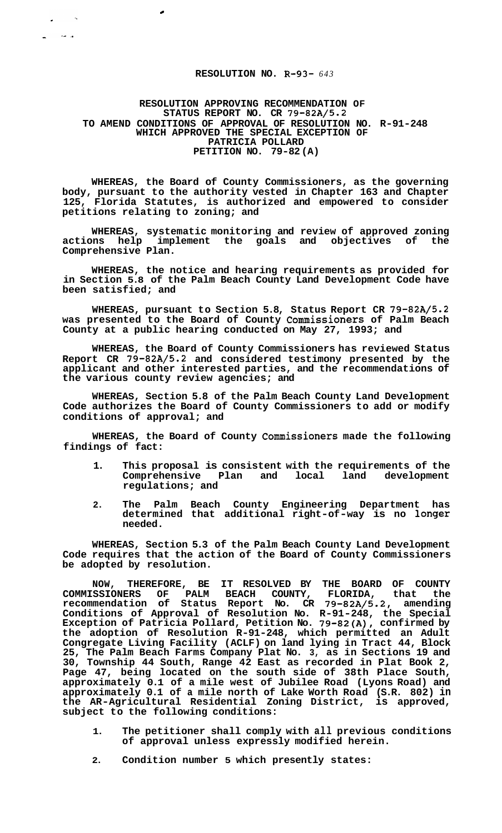## **RESOLUTION NO. R-93-** *643*

*c* 

 $\sim$   $\sim$ 

المراجع

## **RESOLUTION APPROVING RECOMMENDATION OF STATUS REPORT NO. CR 79-82A/5.2 TO AMEND CONDITIONS OF APPROVAL OF RESOLUTION NO. R-91-248 WHICH APPROVED THE SPECIAL EXCEPTION OF PATRICIA POLLARD PETITION NO. 79-82 (A)**

**WHEREAS, the Board of County Commissioners, as the governing body, pursuant to the authority vested in Chapter 163 and Chapter 125, Florida Statutes, is authorized and empowered to consider petitions relating to zoning; and** 

**WHEREAS, systematic monitoring and review of approved zoning actions help implement the goals and objectives of the Comprehensive Plan.** 

**WHEREAS, the notice and hearing requirements as provided for in Section 5.8 of the Palm Beach County Land Development Code have been satisfied; and** 

**WHEREAS, pursuant to Section 5.8, Status Report CR 79-82A/5.2 was presented to the Board of County Commissioners of Palm Beach County at a public hearing conducted on May 27, 1993; and** 

**WHEREAS, the Board of County Commissioners has reviewed Status Report CR 79-82A/5.2 and considered testimony presented by the applicant and other interested parties, and the recommendations of the various county review agencies; and** 

**WHEREAS, Section 5.8 of the Palm Beach County Land Development Code authorizes the Board of County Commissioners to add or modify conditions of approval; and** 

**WHEREAS, the Board of County Commissioners made the following findings of fact:** 

- **1. This proposal is consistent with the requirements of the Comprehensive Plan and local land development regulations; and**
- **2. The Palm Beach County Engineering Department has determined that additional right-of-way is no longer needed.**

**WHEREAS, Section 5.3 of the Palm Beach County Land Development Code requires that the action of the Board of County Commissioners be adopted by resolution.** 

**NOW, THEREFORE, BE IT RESOLVED BY THE BOARD OF COUNTY COMMISSIONERS OF PALM BEACH COUNTY, FLORIDA, that the recommendation of Status Report No. CR 79-82A/5.2, amending Conditions of Approval of Resolution No. R-91-248, the Special Exception of Patricia Pollard, Petition No. 79-82(A), confirmed by the adoption of Resolution R-91-248, which permitted an Adult Congregate Living Facility (ACLF) on land lying in Tract 44, Block 25, The Palm Beach Farms Company Plat No. 3, as in Sections 19 and 30, Township 44 South, Range 42 East as recorded in Plat Book 2, Page 47, being located on the south side of 38th Place South, approximately 0.1 of a mile west of Jubilee Road (Lyons Road) and approximately 0.1 of a mile north of Lake Worth Road (S.R. 802) in the AR-Agricultural Residential Zoning District, is approved, subject to the following conditions:** 

- **1. The petitioner shall comply with all previous conditions of approval unless expressly modified herein.**
- **2. Condition number 5 which presently states:**